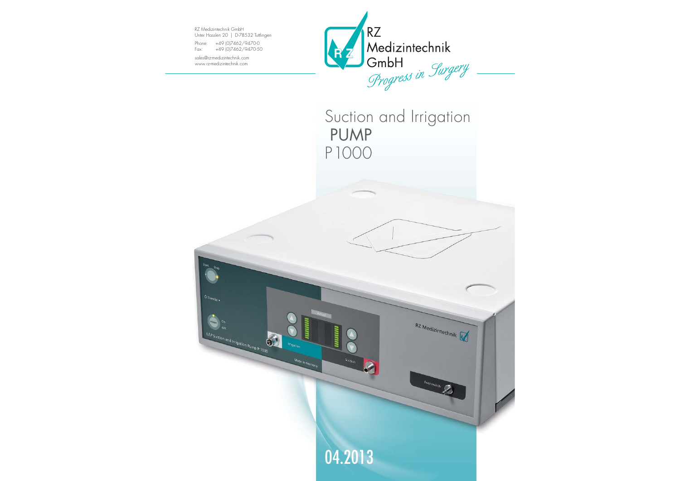RZ Medizintechnik GmbH Unter Hasslen 20 | D-78532 Tuttlingen

LAP Suction and Irrigation Pump P 1000

6

Made in Germany

Phone: +49 (0)7462/9470-0 Fax: +49 (0)7462/9470-50

sales@rz-medizintechnik.com www.rz-medizintechnik.com



## Suction and Irrigation PUMP P1000

RZ Medizintechnik

Footswitch

04.2013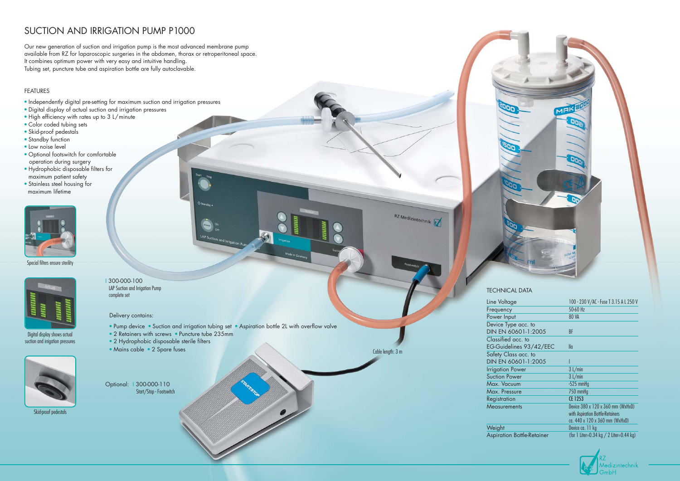### SUCTION AND IRRIGATION PUMP P1000

Our new generation of suction and irrigation pump is the most advanced membrane pump available from RZ for laparoscopic surgeries in the abdomen, thorax or retroperitoneal space. It combines optimum power with very easy and intuitive handling. Tubing set, puncture tube and aspiration bottle are fully autoclavable.

#### FEATURES

- Pump device Suction and irrigation tubing set Aspiration bottle 2L with overflow valve
- 2 Retainers with screws Puncture tube 235mm
- 2 Hydrophobic disposable sterile filters
- Mains cable 2 Spare fuses
- Independently digital pre-setting for maximum suction and irrigation pressures
- Digital display of actual suction and irrigation pressures
- High efficiency with rates up to 3 L/minute
- Color coded tubing sets
- Skid-proof pedestals
- Standby function
- Low noise level
- Optional footswitch for comfortable operation during surger y
- Hydrophobic disposable filters for maximum patient safety
- Stainless steel housing for maximum lifetime



I 300-000-100 LAP Suction and Irrigation Pump complete set

Delivery contains:

Optional: I 300-000-110 Start/Stop - Footswitch RZ Medizintechnik

Cable length: 3 m

| e                      | 100 - 230 V/AC - Fuse T 3.15 A L 250 V  |
|------------------------|-----------------------------------------|
|                        | 50-60 Hz                                |
| ıt                     | <b>80 VA</b>                            |
| e acc. to              |                                         |
| )601-1:2005            | BF                                      |
| acc. to                |                                         |
| nes 93/42/EEC          | lla                                     |
| ss acc. to             |                                         |
| 0601-1:2005            |                                         |
| ower                   | 3 L/min                                 |
| wer                    | 3 L/min                                 |
| <b>Um</b>              | $-525$ mmHg                             |
| ure                    | 750 mmHg                                |
| h                      | CE 1253                                 |
| ents                   | Device 380 x 120 x 360 mm (WxHxD)       |
|                        | with Aspiration Bottle-Retainers        |
|                        | ca. 440 x 120 x 360 mm (WxHxD)          |
|                        | Device ca. 11 kg                        |
| <b>Bottle-Retainer</b> | (for 1 Liter=0.34 kg / 2 Liter=0.44 kg) |
|                        |                                         |



#### TECHNICAL DATA

Line Voltage Frequency Power Inpu Device Type **DIN EN 60** Classified EG-Guidel Safety Class  $DIN EN 60$ **Irrigation F** Suction Power Max. Vacu Max. Press Registration  $M$ easurem

Weight Aspiration





Skid-proof pedestals

Special filters ensure sterility



Digital display shows actual suction and irrigation pressures